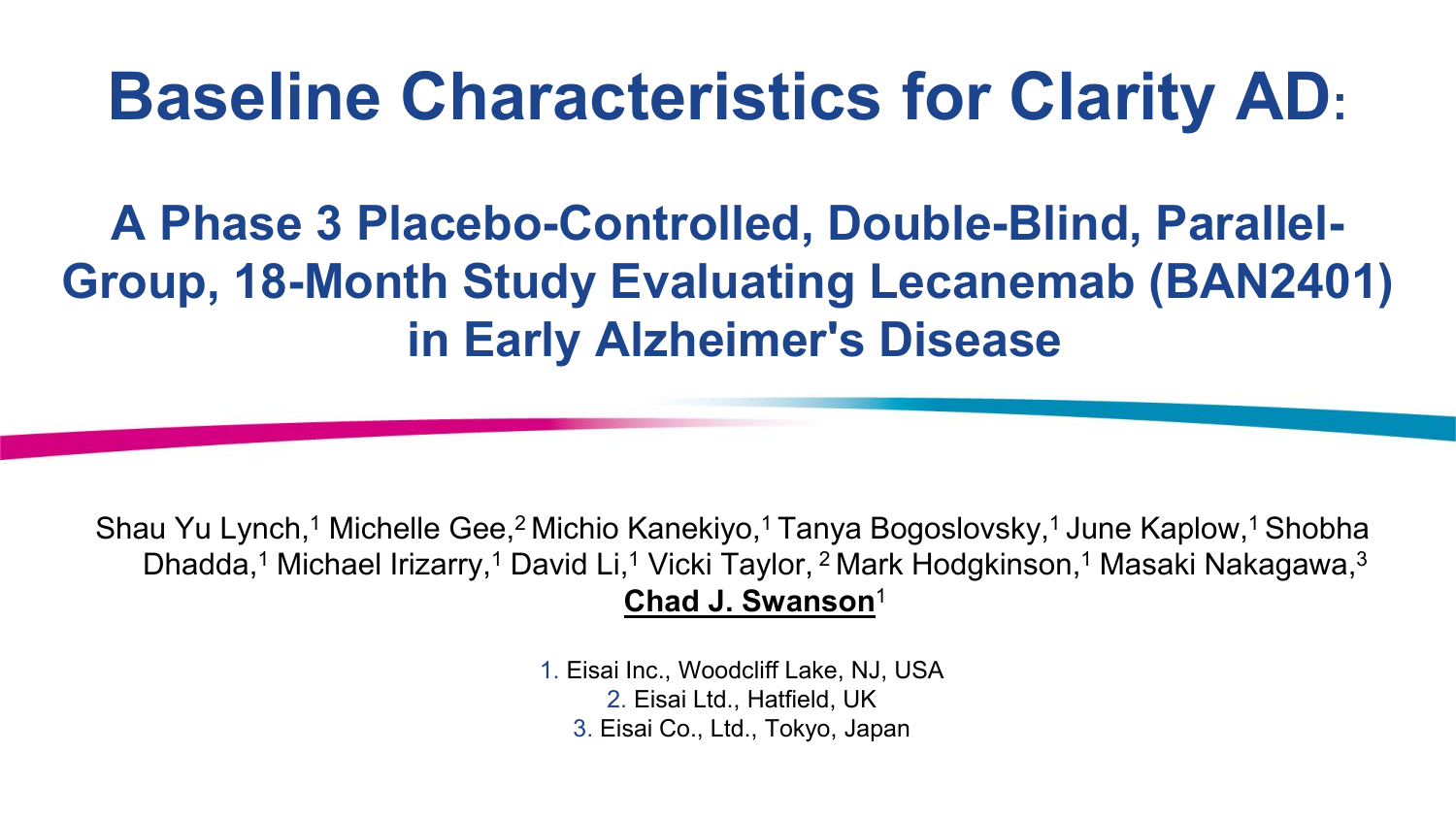# **Baseline Characteristics for Clarity AD:**

## **A Phase 3 Placebo-Controlled, Double-Blind, Parallel-Group, 18-Month Study Evaluating Lecanemab (BAN2401) in Early Alzheimer's Disease**

Shau Yu Lynch,<sup>1</sup> Michelle Gee,<sup>2</sup> Michio Kanekiyo,<sup>1</sup> Tanya Bogoslovsky,<sup>1</sup> June Kaplow,<sup>1</sup> Shobha Dhadda,<sup>1</sup> Michael Irizarry,<sup>1</sup> David Li,<sup>1</sup> Vicki Taylor, <sup>2</sup> Mark Hodgkinson,<sup>1</sup> Masaki Nakagawa,<sup>3</sup> **Chad J. Swanson**<sup>1</sup>

> 1. Eisai Inc., Woodcliff Lake, NJ, USA 2. Eisai Ltd., Hatfield, UK 3. Eisai Co., Ltd., Tokyo, Japan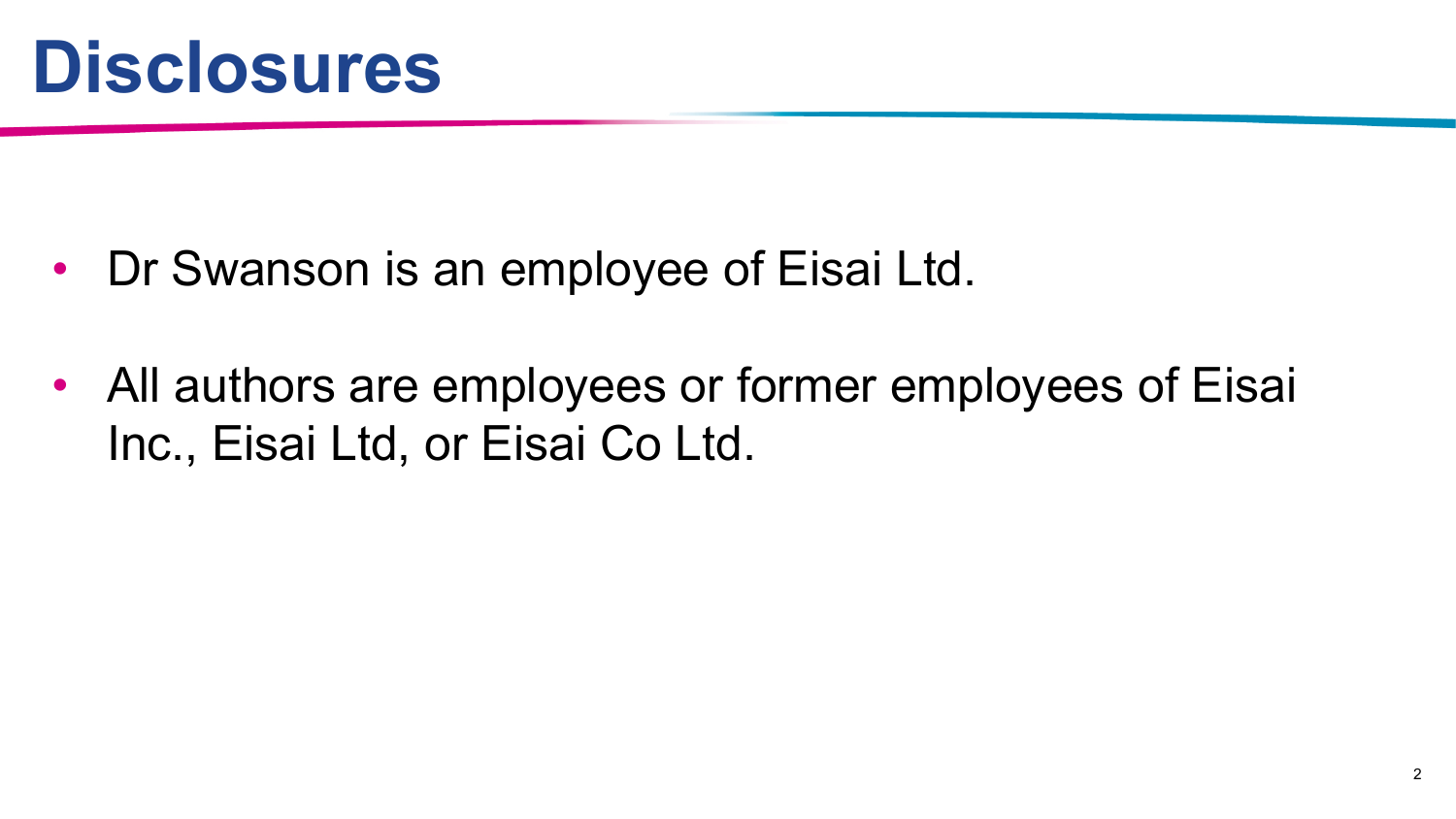

- Dr Swanson is an employee of Eisai Ltd.
- All authors are employees or former employees of Eisai Inc., Eisai Ltd, or Eisai Co Ltd.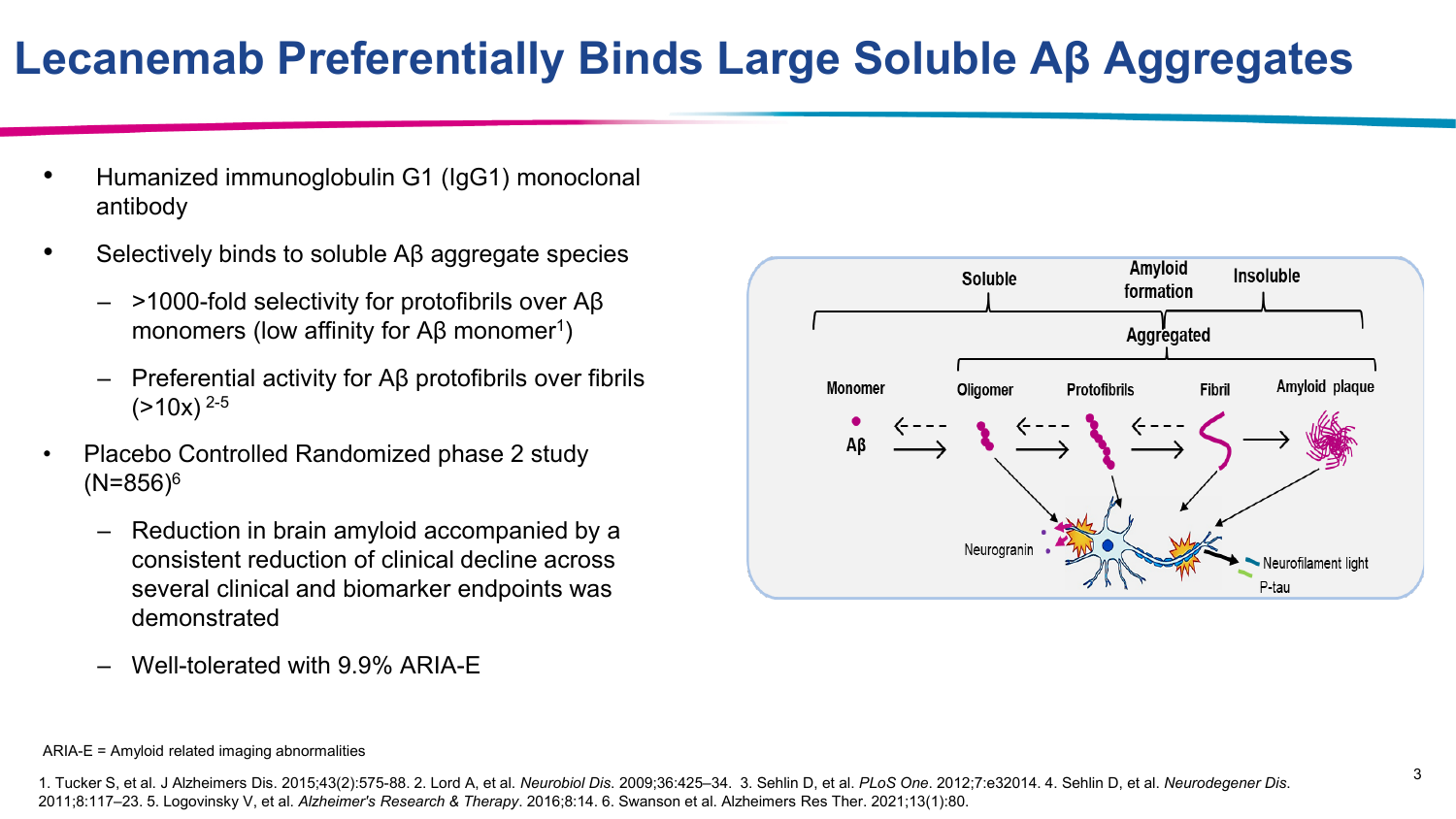### **Lecanemab Preferentially Binds Large Soluble Aβ Aggregates**

- Humanized immunoglobulin G1 (IgG1) monoclonal antibody
- Selectively binds to soluble Aβ aggregate species
	- >1000-fold selectivity for protofibrils over Aβ monomers (low affinity for  $AB$  monomer<sup>1</sup>)
	- Preferential activity for Aβ protofibrils over fibrils  $(>10x)^{2-5}$
- Placebo Controlled Randomized phase 2 study  $(N=856)^6$ 
	- Reduction in brain amyloid accompanied by a consistent reduction of clinical decline across several clinical and biomarker endpoints was demonstrated
	- Well-tolerated with 9.9% ARIA-E



#### ARIA-E = Amyloid related imaging abnormalities

<sup>1.</sup> Tucker S, et al. J Alzheimers Dis. 2015;43(2):575-88. 2. Lord A, et al. Neurobiol Dis. 2009:36:425-34. 3. Sehlin D, et al. PLoS One. 2012;7:e32014. 4. Sehlin D, et al. Neurodegener Dis. 2011;8:117–23. 5. Logovinsky V, et al. *Alzheimer's Research & Therapy*. 2016;8:14. 6. Swanson et al. Alzheimers Res Ther. 2021;13(1):80.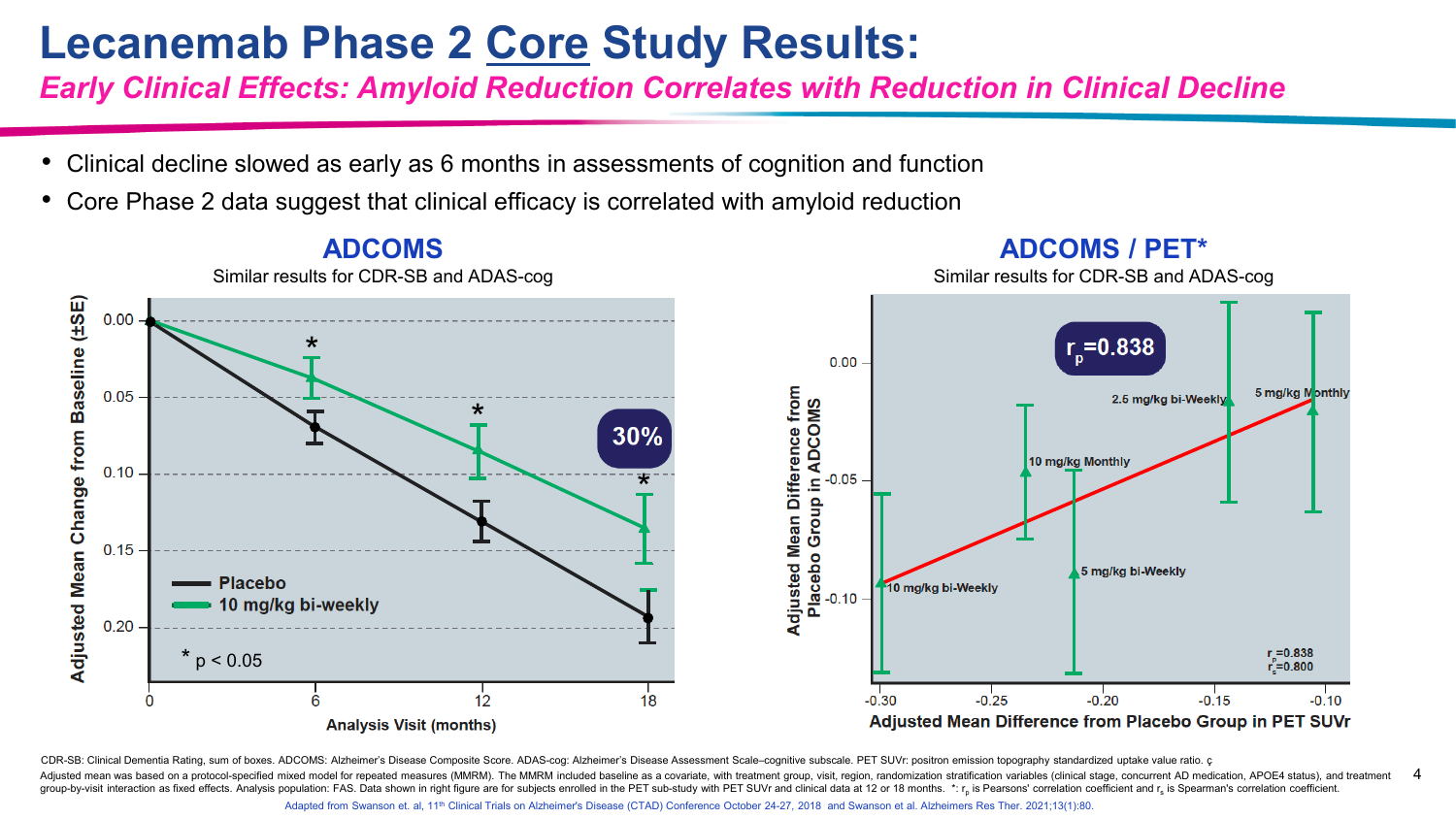#### **Lecanemab Phase 2 Core Study Results:**

*Early Clinical Effects: Amyloid Reduction Correlates with Reduction in Clinical Decline*

- Clinical decline slowed as early as 6 months in assessments of cognition and function
- Core Phase 2 data suggest that clinical efficacy is correlated with amyloid reduction



CDR-SB: Clinical Dementia Rating, sum of boxes. ADCOMS: Alzheimer's Disease Composite Score. ADAS-cog: Alzheimer's Disease Assessment Scale-cognitive subscale. PET SUVr: positron emission topography standardized uptake val

4 Adjusted mean was based on a protocol-specified mixed model for repeated measures (MMRM). The MMRM included baseline as a covariate, with treatment group, visit, region, randomization stratification variables (clinical sta group-by-visit interaction as fixed effects. Analysis population: FAS. Data shown in right figure are for subjects enrolled in the PET sub-study with PET SUVr and clinical data at 12 or 18 months. \*: r<sub>n</sub> is Pearsons' corr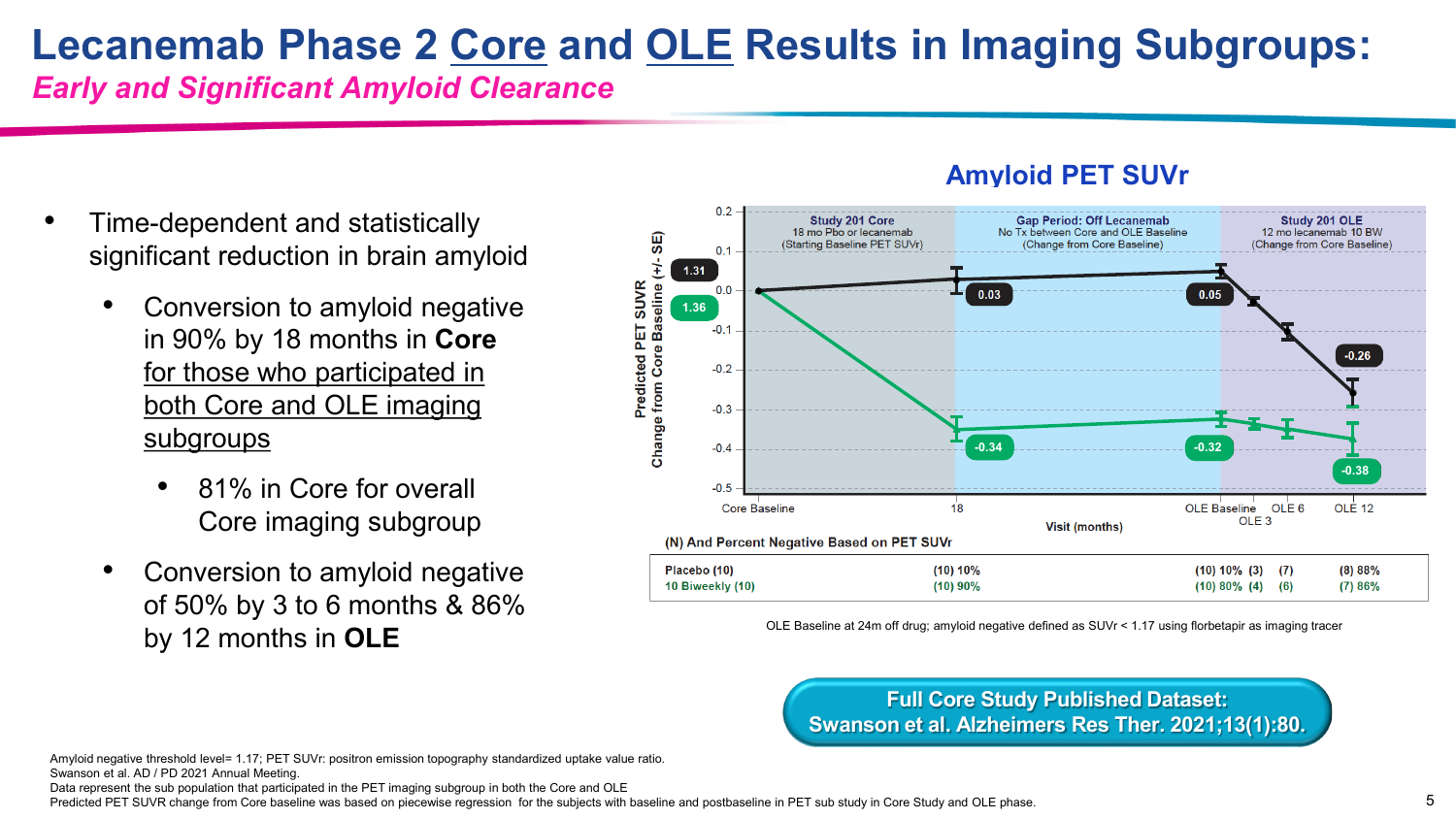### **Lecanemab Phase 2 Core and OLE Results in Imaging Subgroups:**

*Early and Significant Amyloid Clearance*

- Time-dependent and statistically significant reduction in brain amyloid
	- Conversion to amyloid negative in 90% by 18 months in **Core**  for those who participated in both Core and OLE imaging subgroups
		- 81% in Core for overall Core imaging subgroup
	- Conversion to amyloid negative of 50% by 3 to 6 months & 86% by 12 months in **OLE**



**Amyloid PET SUVr**

OLE Baseline at 24m off drug; amyloid negative defined as SUVr < 1.17 using florbetapir as imaging tracer

**Full Core Study Published Dataset: Swanson et al. Alzheimers Res Ther. 2021;13(1):80.**

Amyloid negative threshold level= 1.17; PET SUVr: positron emission topography standardized uptake value ratio. Swanson et al. AD / PD 2021 Annual Meeting.

Data represent the sub population that participated in the PET imaging subgroup in both the Core and OLE

Predicted PET SUVR change from Core baseline was based on piecewise regression for the subjects with baseline and postbaseline in PET sub study in Core Study and OLE phase.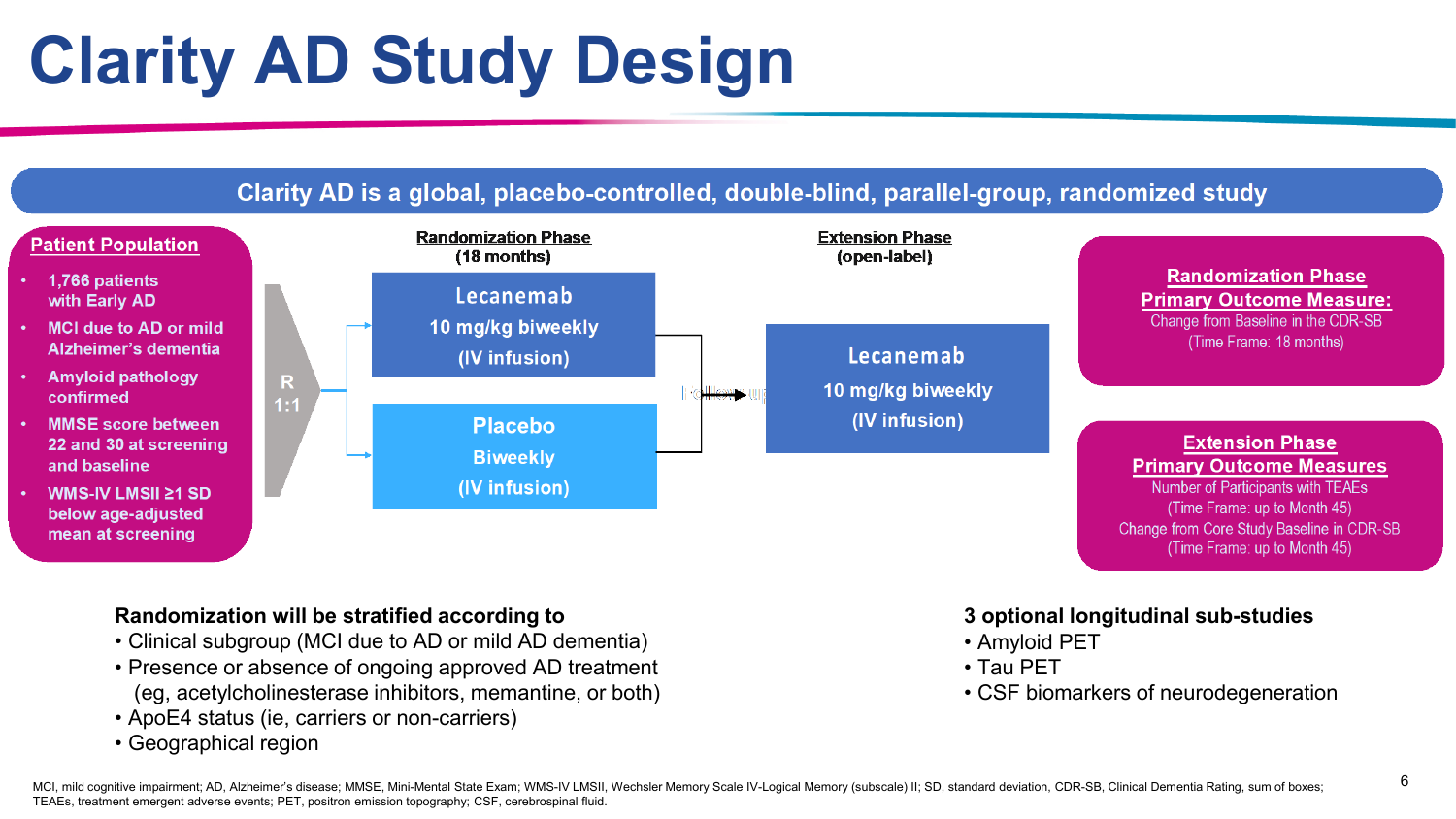

#### **Randomization will be stratified according to**

- Clinical subgroup (MCI due to AD or mild AD dementia)
- Presence or absence of ongoing approved AD treatment (eg, acetylcholinesterase inhibitors, memantine, or both)
- ApoE4 status (ie, carriers or non-carriers)
- Geographical region

#### **3 optional longitudinal sub-studies**

- Amyloid PET
- Tau PET
- CSF biomarkers of neurodegeneration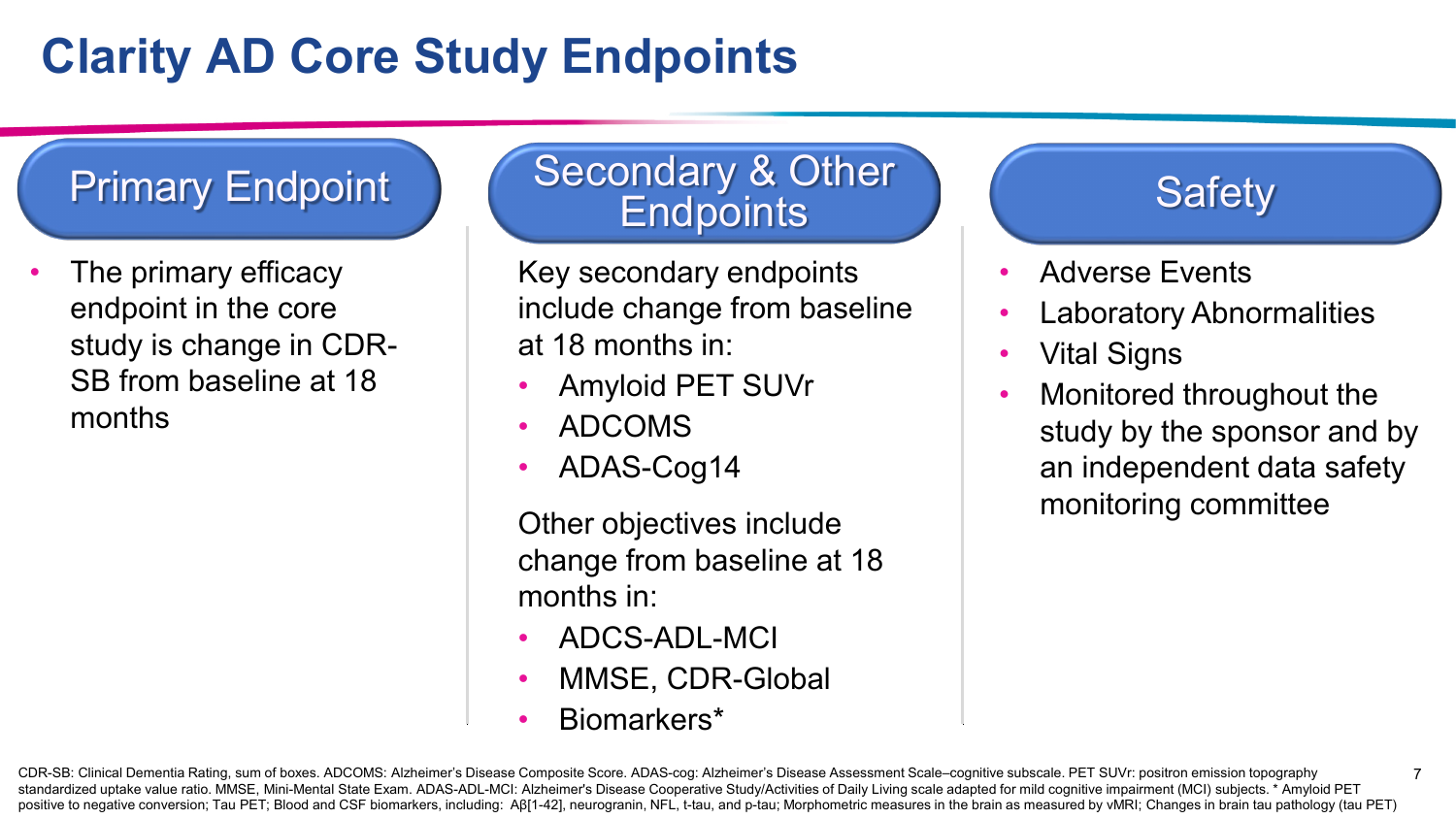# **Clarity AD Core Study Endpoints**

The primary efficacy endpoint in the core study is change in CDR-SB from baseline at 18 months

#### Primary Endpoint Secondary & Other **Endpoints**

Key secondary endpoints include change from baseline at 18 months in:

- Amyloid PET SUVr
- ADCOMS
- ADAS-Cog14

Other objectives include change from baseline at 18 months in:

- ADCS-ADL-MCI
- MMSE, CDR-Global
- Biomarkers\*

#### **Safety**

- Adverse Events
- Laboratory Abnormalities
- Vital Signs
- Monitored throughout the study by the sponsor and by an independent data safety monitoring committee

7

CDR-SB: Clinical Dementia Rating, sum of boxes. ADCOMS: Alzheimer's Disease Composite Score. ADAS-cog: Alzheimer's Disease Assessment Scale–cognitive subscale. PET SUVr: positron emission topography standardized uptake value ratio. MMSE, Mini-Mental State Exam. ADAS-ADL-MCI: Alzheimer's Disease Cooperative Study/Activities of Daily Living scale adapted for mild cognitive impairment (MCI) subjects. \* Amyloid PET positive to negative conversion; Tau PET; Blood and CSF biomarkers, including: AB[1-42], neurogranin, NFL, t-tau, and p-tau; Morphometric measures in the brain as measured by vMRI; Changes in brain tau pathology (tau PET)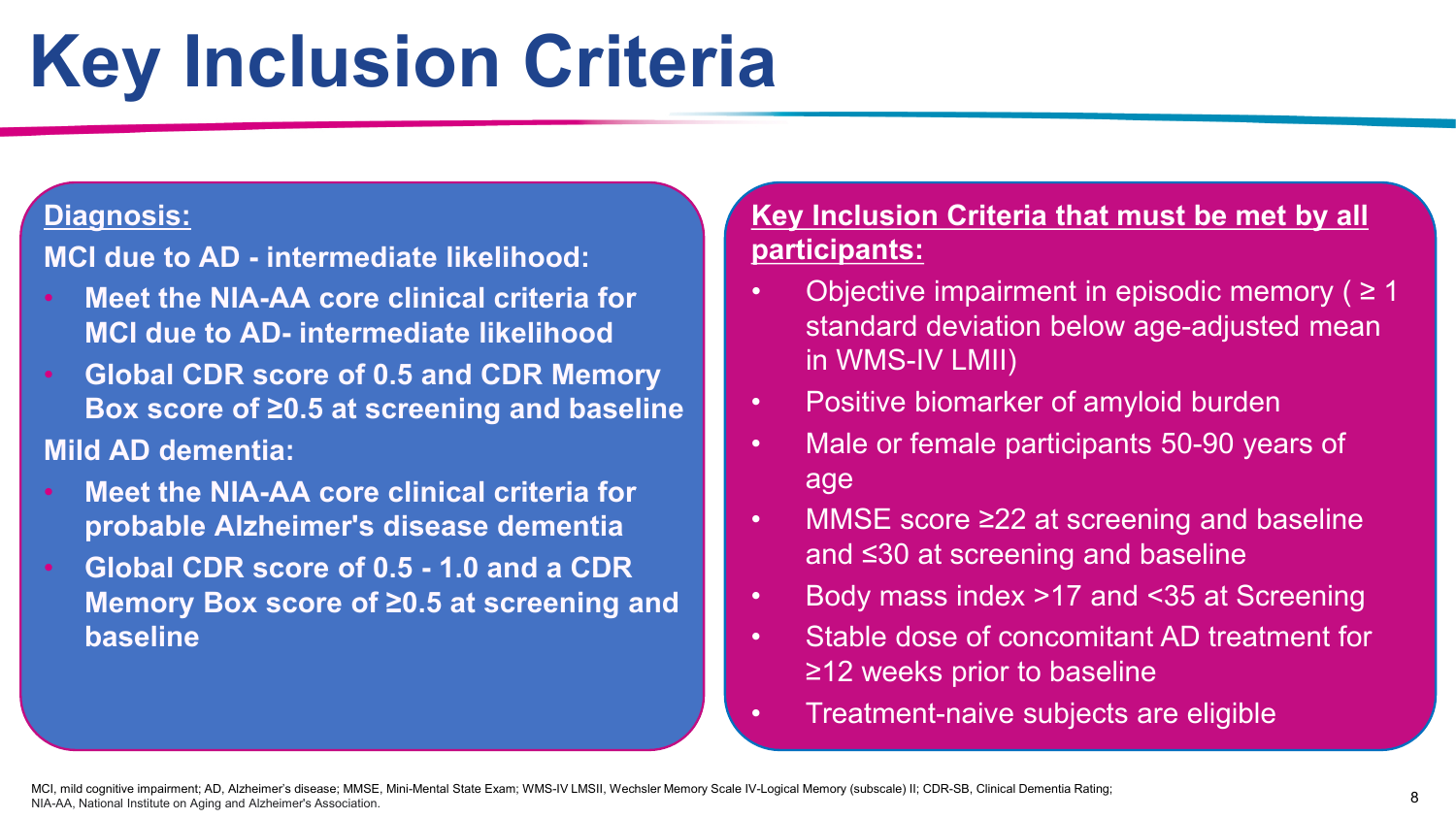# **Key Inclusion Criteria**

#### **Diagnosis:**

**MCI due to AD - intermediate likelihood:**

- **Meet the NIA-AA core clinical criteria for MCI due to AD- intermediate likelihood**
- **Global CDR score of 0.5 and CDR Memory Box score of ≥0.5 at screening and baseline**

#### **Mild AD dementia:**

- **Meet the NIA-AA core clinical criteria for probable Alzheimer's disease dementia**
- **Global CDR score of 0.5 - 1.0 and a CDR Memory Box score of ≥0.5 at screening and baseline**

#### **Key Inclusion Criteria that must be met by all participants:**

- Objective impairment in episodic memory ( $\geq 1$ ) standard deviation below age-adjusted mean in WMS-IV LMII)
- Positive biomarker of amyloid burden
- Male or female participants 50-90 years of age
- MMSE score ≥22 at screening and baseline and ≤30 at screening and baseline
- Body mass index >17 and <35 at Screening
- Stable dose of concomitant AD treatment for ≥12 weeks prior to baseline
- Treatment-naive subjects are eligible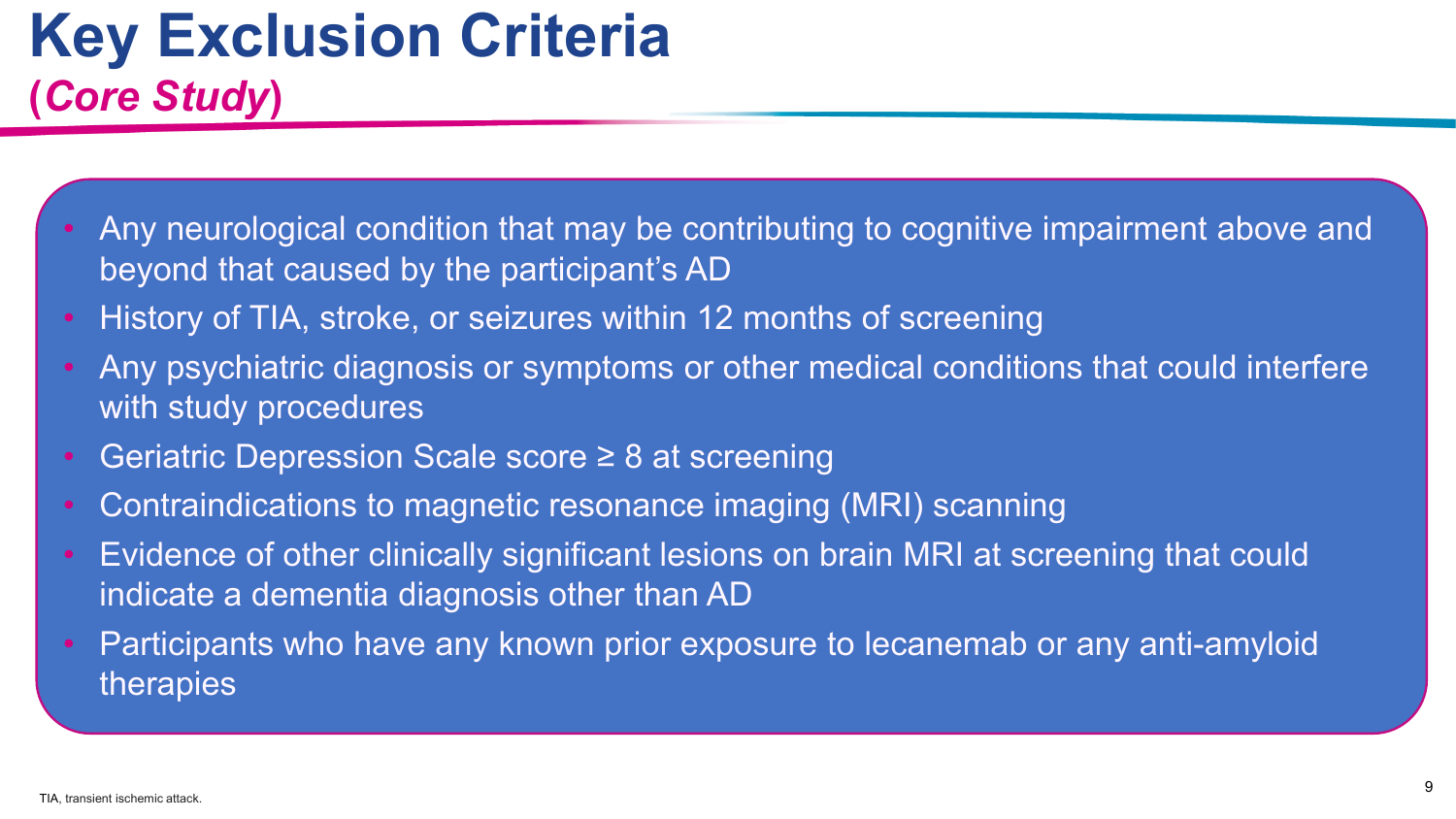# **Key Exclusion Criteria (***Core Study***)**

- Any neurological condition that may be contributing to cognitive impairment above and beyond that caused by the participant's AD
- History of TIA, stroke, or seizures within 12 months of screening
- Any psychiatric diagnosis or symptoms or other medical conditions that could interfere with study procedures
- Geriatric Depression Scale score ≥ 8 at screening
- Contraindications to magnetic resonance imaging (MRI) scanning
- Evidence of other clinically significant lesions on brain MRI at screening that could indicate a dementia diagnosis other than AD
- Participants who have any known prior exposure to lecanemab or any anti-amyloid therapies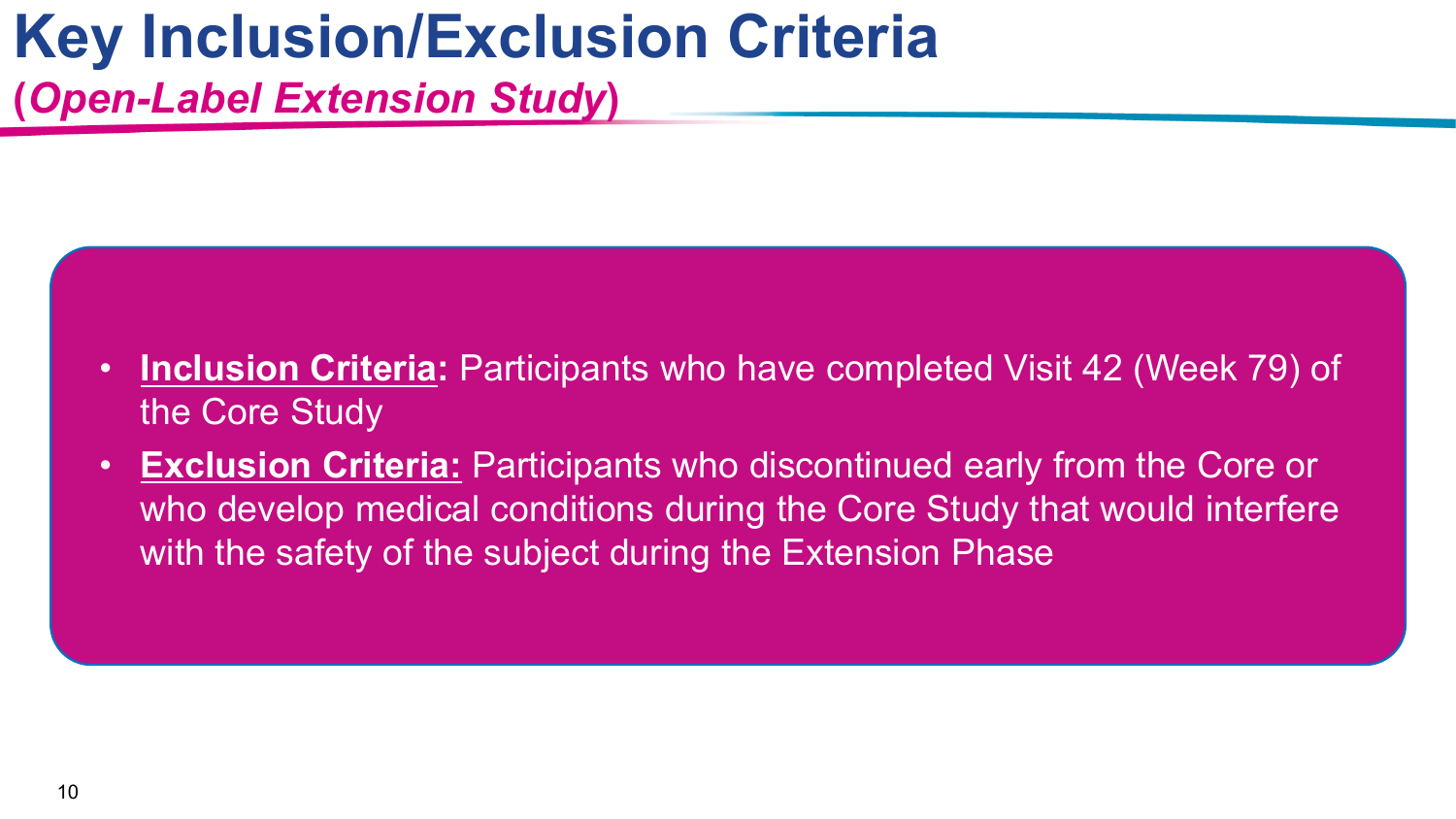## **Key Inclusion/Exclusion Criteria (***Open-Label Extension Study***)**

- **Inclusion Criteria:** Participants who have completed Visit 42 (Week 79) of the Core Study
- **Exclusion Criteria:** Participants who discontinued early from the Core or who develop medical conditions during the Core Study that would interfere with the safety of the subject during the Extension Phase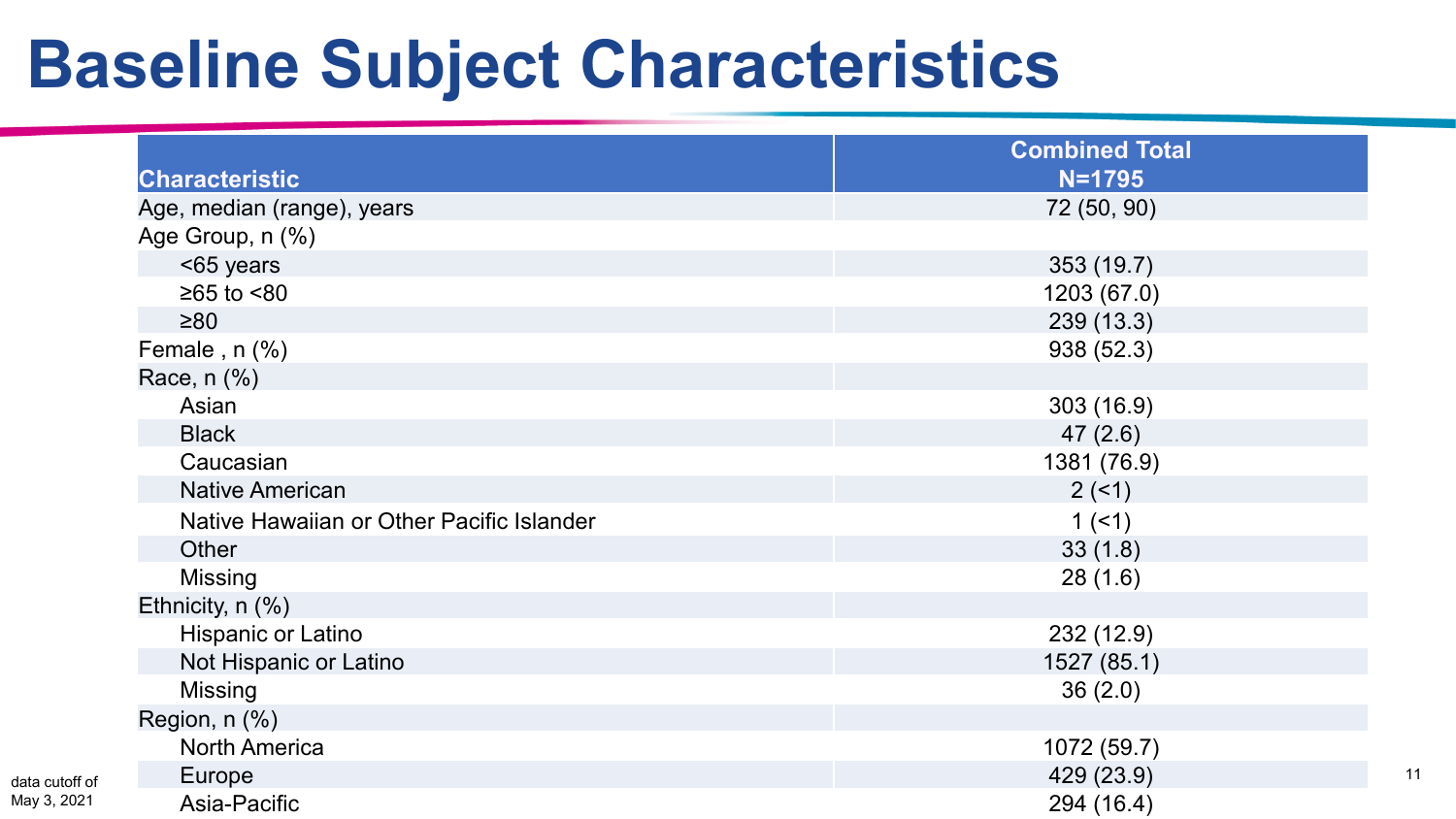# **Baseline Subject Characteristics**

| <b>Characteristic</b>                     | <b>Combined Total</b><br>$N = 1795$ |
|-------------------------------------------|-------------------------------------|
| Age, median (range), years                | 72 (50, 90)                         |
| Age Group, n (%)                          |                                     |
| <65 years                                 | 353 (19.7)                          |
| $≥65$ to $<80$                            | 1203 (67.0)                         |
| $\geq 80$                                 | 239(13.3)                           |
| Female, $n$ $%$                           | 938 (52.3)                          |
| Race, n (%)                               |                                     |
| Asian                                     | 303(16.9)                           |
| <b>Black</b>                              | 47(2.6)                             |
| Caucasian                                 | 1381 (76.9)                         |
| <b>Native American</b>                    | 2(1)                                |
| Native Hawaiian or Other Pacific Islander | 1(51)                               |
| Other                                     | 33(1.8)                             |
| Missing                                   | 28(1.6)                             |
| Ethnicity, n (%)                          |                                     |
| Hispanic or Latino                        | 232(12.9)                           |
| Not Hispanic or Latino                    | 1527 (85.1)                         |
| <b>Missing</b>                            | 36(2.0)                             |
| Region, n (%)                             |                                     |
| <b>North America</b>                      | 1072 (59.7)                         |
| Europe                                    | 429 (23.9)                          |
| Asia-Pacific                              | 294 (16.4)                          |

11

data cutof May 3, 202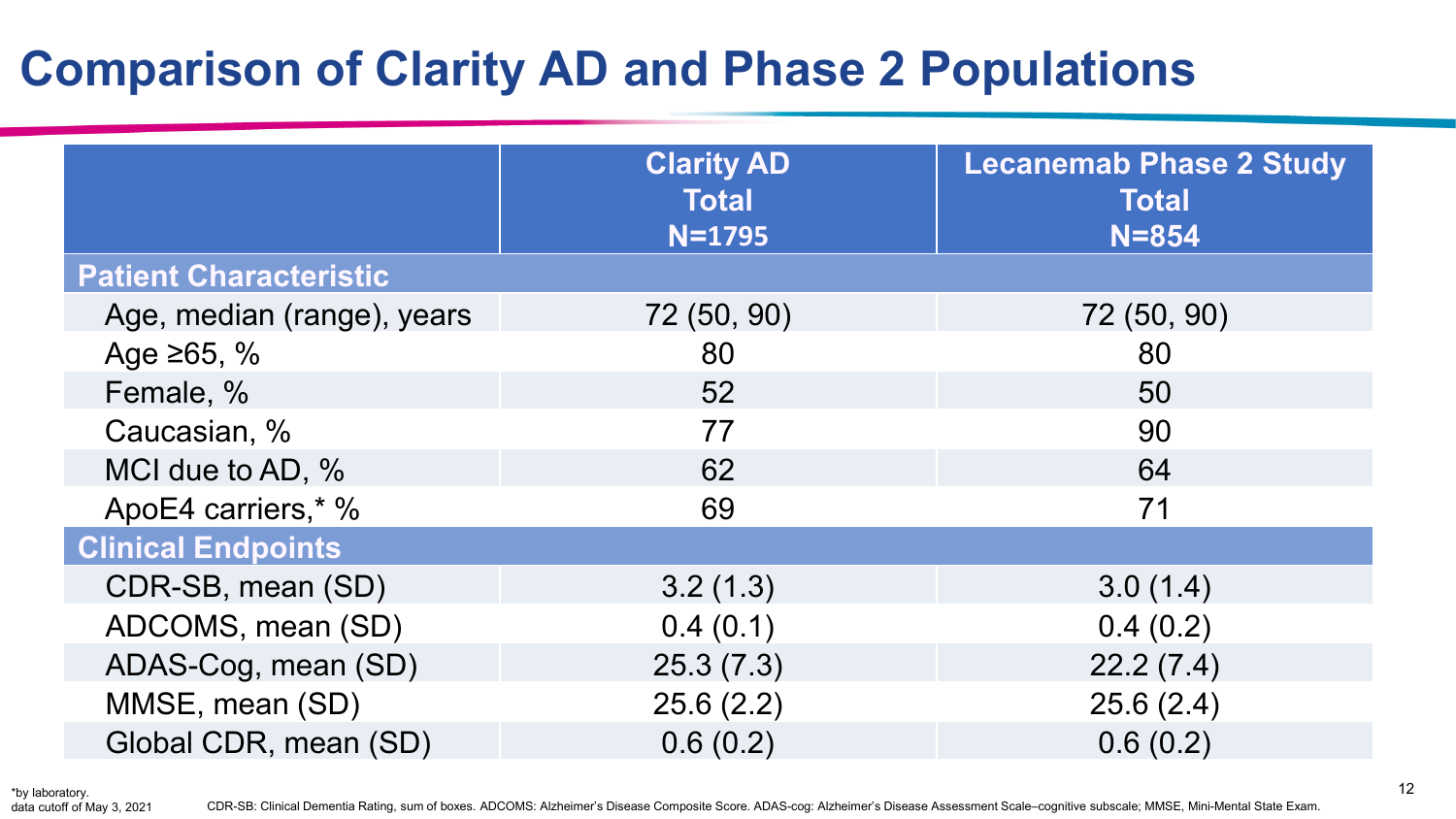### **Comparison of Clarity AD and Phase 2 Populations**

|                               | <b>Clarity AD</b><br><b>Total</b><br>$N = 1795$ | <b>Lecanemab Phase 2 Study</b><br><b>Total</b><br>$N = 854$ |
|-------------------------------|-------------------------------------------------|-------------------------------------------------------------|
| <b>Patient Characteristic</b> |                                                 |                                                             |
| Age, median (range), years    | 72 (50, 90)                                     | 72 (50, 90)                                                 |
| Age $\ge 65, \%$              | 80                                              | 80                                                          |
| Female, %                     | 52                                              | 50                                                          |
| Caucasian, %                  | 77                                              | 90                                                          |
| MCI due to AD, %              | 62                                              | 64                                                          |
| ApoE4 carriers,* %            | 69                                              | 71                                                          |
| <b>Clinical Endpoints</b>     |                                                 |                                                             |
| CDR-SB, mean (SD)             | 3.2(1.3)                                        | 3.0(1.4)                                                    |
| ADCOMS, mean (SD)             | 0.4(0.1)                                        | 0.4(0.2)                                                    |
| ADAS-Cog, mean (SD)           | 25.3(7.3)                                       | 22.2(7.4)                                                   |
| MMSE, mean (SD)               | 25.6(2.2)                                       | 25.6(2.4)                                                   |
| Global CDR, mean (SD)         | 0.6(0.2)                                        | 0.6(0.2)                                                    |

data cutoff of May 3, 2021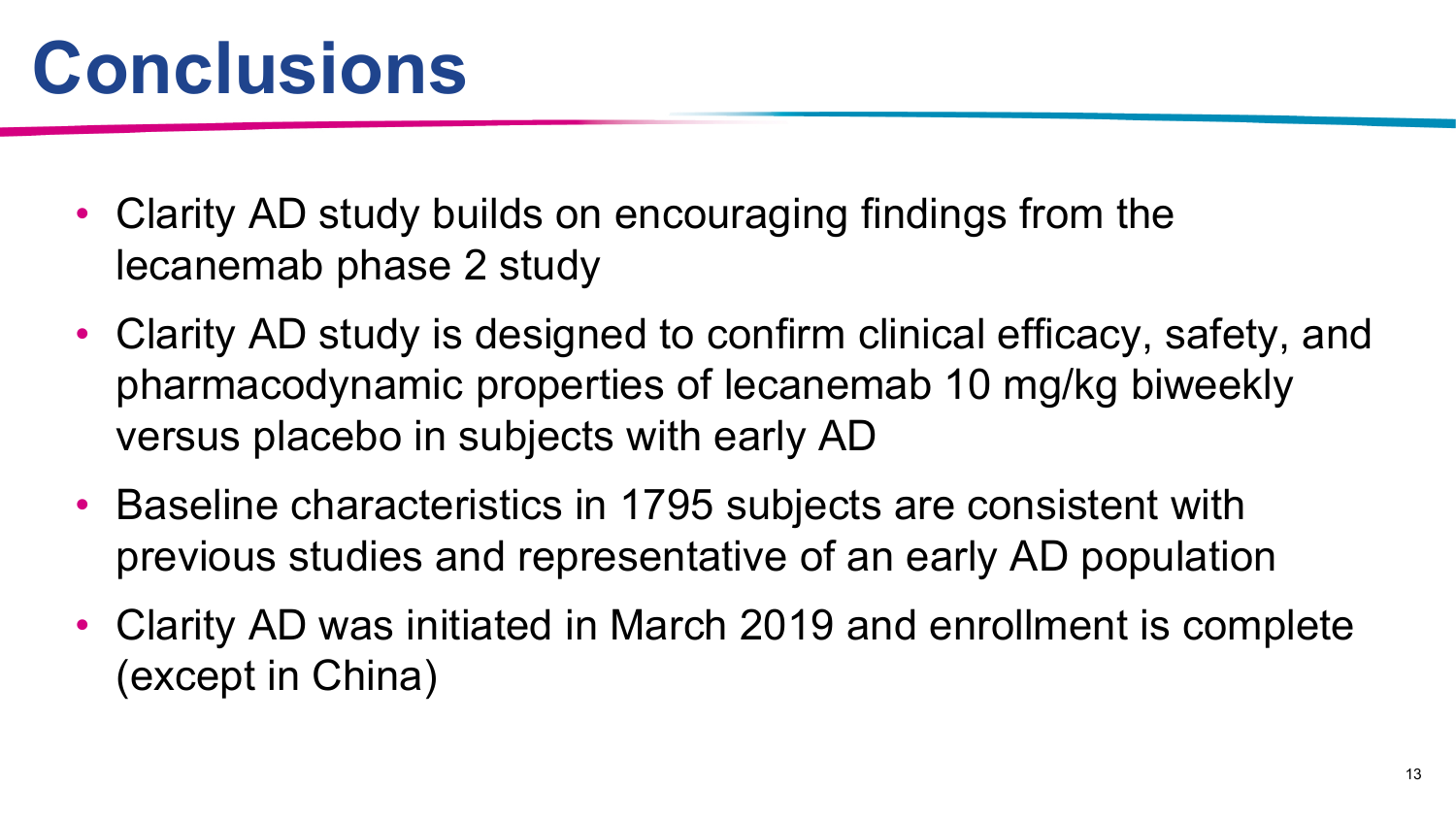- Clarity AD study builds on encouraging findings from the lecanemab phase 2 study
- Clarity AD study is designed to confirm clinical efficacy, safety, and pharmacodynamic properties of lecanemab 10 mg/kg biweekly versus placebo in subjects with early AD
- Baseline characteristics in 1795 subjects are consistent with previous studies and representative of an early AD population
- Clarity AD was initiated in March 2019 and enrollment is complete (except in China)